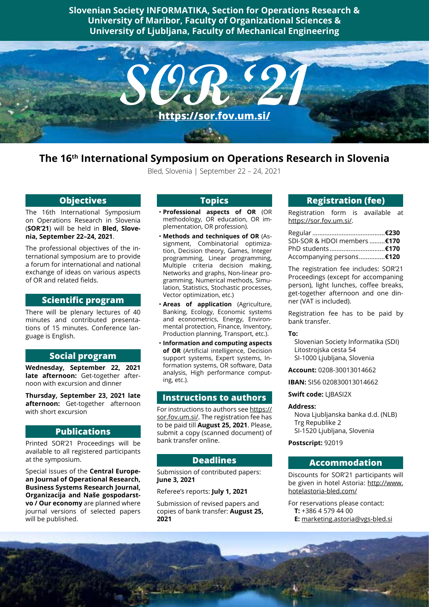**Slovenian Society INFORMATIKA, Section for Operations Research & University of Maribor, Faculty of Organizational Sciences & University of Ljubljana, Faculty of Mechanical Engineering**



# **The 16th International Symposium on Operations Research in Slovenia**

Bled, Slovenia | September 22 – 24, 2021

### **Objectives**

The 16th International Symposium on Operations Research in Slovenia (**SOR'21**) will be held in **Bled, Slovenia, September 22–24, 2021**.

The professional objectives of the international symposium are to provide a forum for international and national exchange of ideas on various aspects of OR and related fields.

### **Scientific program**

There will be plenary lectures of 40 minutes and contributed presentations of 15 minutes. Conference language is English.

### **Social program**

**Wednesday, September 22, 2021 late afternoon:** Get-together afternoon with excursion and dinner

**Thursday, September 23, 2021 late afternoon:** Get-together afternoon with short excursion

### **Publications**

Printed SOR'21 Proceedings will be available to all registered participants at the symposium.

Special issues of the **Central European Journal of Operational Research, Business Systems Research Journal, Organizacija and Naše gospodarstvo / Our economy** are planned where journal versions of selected papers will be published.

## **Topics**

- **Professional aspects of OR** (OR methodology, OR education, OR implementation, OR profession).
- **Methods and techniques of OR** (Assignment, Combinatorial optimization, Decision theory, Games, Integer programming, Linear programming, Multiple criteria decision making, Networks and graphs, Non-linear programming, Numerical methods, Simulation, Statistics, Stochastic processes, Vector optimization, etc.)
- **Areas of application** (Agriculture, Banking, Ecology, Economic systems and econometrics, Energy, Environmental protection, Finance, Inventory, Production planning, Transport, etc.).
- **Information and computing aspects of OR** (Artificial intelligence, Decision support systems, Expert systems, Information systems, OR software, Data analysis, High performance computing, etc.).

### **Instructions to authors**

For instructions to authors see [https://](https://sor.fov.um.si/) [sor.fov.um.si/](https://sor.fov.um.si/). The registration fee has to be paid till **August 25, 2021**. Please, submit a copy (scanned document) of bank transfer online.

### **Deadlines**

Submission of contributed papers: **June 3, 2021**

### Referee's reports: **July 1, 2021**

Submission of revised papers and copies of bank transfer: **August 25, 2021**

### **Registration (fee)**

Registration form is available at <https://sor.fov.um.si/>.

| SDI-SOR & HDOI members  €170 |  |
|------------------------------|--|
|                              |  |
| Accompanying persons €120    |  |

The registration fee includes: SOR'21 Proceedings (except for accompaning person), light lunches, coffee breaks, get-together afternoon and one dinner (VAT is included).

Registration fee has to be paid by bank transfer.

#### **To:**

Slovenian Society Informatika (SDI) Litostrojska cesta 54 SI-1000 Ljubljana, Slovenia

**Account:** 0208-30013014662

**IBAN:** SI56 020830013014662

**Swift code:** LJBASI2X

### **Address:**

Nova Ljubljanska banka d.d. (NLB) Trg Republike 2 SI-1520 Ljubljana, Slovenia

**Postscript:** 92019

### **Accommodation**

Discounts for SOR'21 participants will be given in hotel Astoria: [http://www.](http://www.hotelastoria-bled.com/) [hotelastoria-bled.com/](http://www.hotelastoria-bled.com/)

For reservations please contact:

- **T:** +386 4 579 44 00
- **E:** [marketing.astoria@vgs-bled.si](mailto:marketing.astoria@vgs-bled.si)